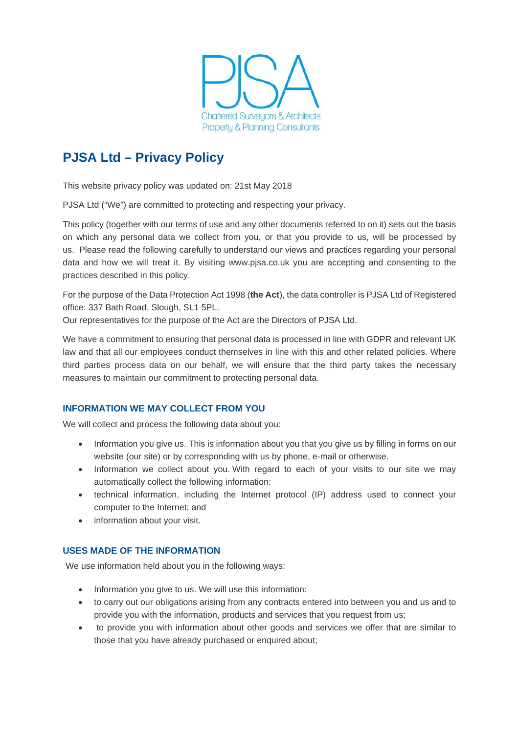

# **PJSA Ltd – Privacy Policy**

This website privacy policy was updated on: 21st May 2018

PJSA Ltd ("We") are committed to protecting and respecting your privacy.

This policy (together with our terms of use and any other documents referred to on it) sets out the basis on which any personal data we collect from you, or that you provide to us, will be processed by us. Please read the following carefully to understand our views and practices regarding your personal data and how we will treat it. By visiting www.pjsa.co.uk you are accepting and consenting to the practices described in this policy.

For the purpose of the Data Protection Act 1998 (**the Act**), the data controller is PJSA Ltd of Registered office: 337 Bath Road, Slough, SL1 5PL.

Our representatives for the purpose of the Act are the Directors of PJSA Ltd.

We have a commitment to ensuring that personal data is processed in line with GDPR and relevant UK law and that all our employees conduct themselves in line with this and other related policies. Where third parties process data on our behalf, we will ensure that the third party takes the necessary measures to maintain our commitment to protecting personal data.

# **INFORMATION WE MAY COLLECT FROM YOU**

We will collect and process the following data about you:

- Information you give us. This is information about you that you give us by filling in forms on our website (our site) or by corresponding with us by phone, e-mail or otherwise.
- Information we collect about you. With regard to each of your visits to our site we may automatically collect the following information:
- technical information, including the Internet protocol (IP) address used to connect your computer to the Internet; and
- information about your visit.

# **USES MADE OF THE INFORMATION**

We use information held about you in the following ways:

- Information you give to us. We will use this information:
- to carry out our obligations arising from any contracts entered into between you and us and to provide you with the information, products and services that you request from us;
- to provide you with information about other goods and services we offer that are similar to those that you have already purchased or enquired about;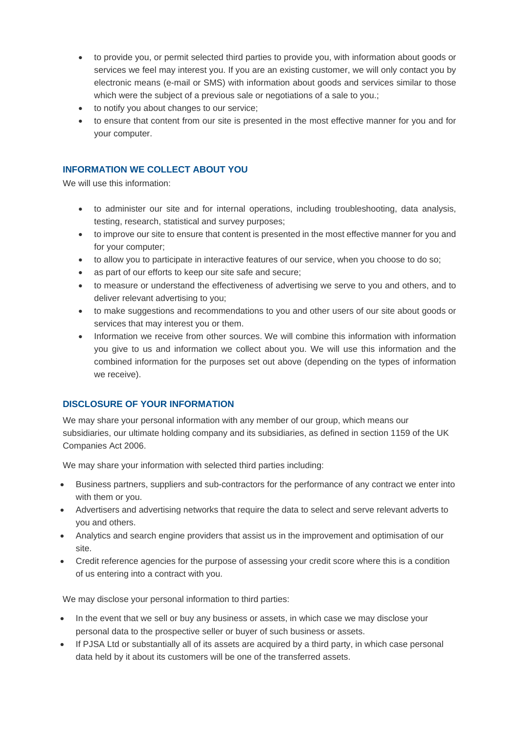- to provide you, or permit selected third parties to provide you, with information about goods or services we feel may interest you. If you are an existing customer, we will only contact you by electronic means (e-mail or SMS) with information about goods and services similar to those which were the subject of a previous sale or negotiations of a sale to you.;
- to notify you about changes to our service;
- to ensure that content from our site is presented in the most effective manner for you and for your computer.

# **INFORMATION WE COLLECT ABOUT YOU**

We will use this information:

- to administer our site and for internal operations, including troubleshooting, data analysis, testing, research, statistical and survey purposes;
- to improve our site to ensure that content is presented in the most effective manner for you and for your computer;
- to allow you to participate in interactive features of our service, when you choose to do so;
- as part of our efforts to keep our site safe and secure;
- to measure or understand the effectiveness of advertising we serve to you and others, and to deliver relevant advertising to you;
- to make suggestions and recommendations to you and other users of our site about goods or services that may interest you or them.
- Information we receive from other sources. We will combine this information with information you give to us and information we collect about you. We will use this information and the combined information for the purposes set out above (depending on the types of information we receive).

# **DISCLOSURE OF YOUR INFORMATION**

We may share your personal information with any member of our group, which means our subsidiaries, our ultimate holding company and its subsidiaries, as defined in section 1159 of the UK Companies Act 2006.

We may share your information with selected third parties including:

- Business partners, suppliers and sub-contractors for the performance of any contract we enter into with them or you.
- Advertisers and advertising networks that require the data to select and serve relevant adverts to you and others.
- Analytics and search engine providers that assist us in the improvement and optimisation of our site.
- Credit reference agencies for the purpose of assessing your credit score where this is a condition of us entering into a contract with you.

We may disclose your personal information to third parties:

- In the event that we sell or buy any business or assets, in which case we may disclose your personal data to the prospective seller or buyer of such business or assets.
- If PJSA Ltd or substantially all of its assets are acquired by a third party, in which case personal data held by it about its customers will be one of the transferred assets.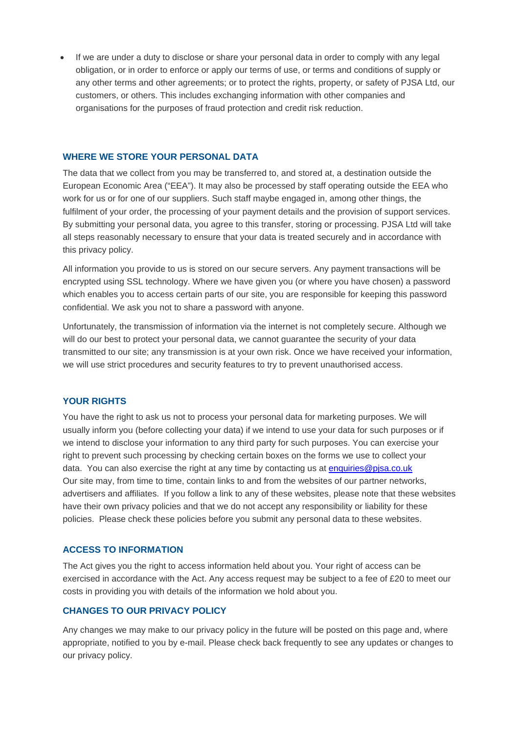If we are under a duty to disclose or share your personal data in order to comply with any legal obligation, or in order to enforce or apply our terms of use, or terms and conditions of supply or any other terms and other agreements; or to protect the rights, property, or safety of PJSA Ltd, our customers, or others. This includes exchanging information with other companies and organisations for the purposes of fraud protection and credit risk reduction.

#### **WHERE WE STORE YOUR PERSONAL DATA**

The data that we collect from you may be transferred to, and stored at, a destination outside the European Economic Area ("EEA"). It may also be processed by staff operating outside the EEA who work for us or for one of our suppliers. Such staff maybe engaged in, among other things, the fulfilment of your order, the processing of your payment details and the provision of support services. By submitting your personal data, you agree to this transfer, storing or processing. PJSA Ltd will take all steps reasonably necessary to ensure that your data is treated securely and in accordance with this privacy policy.

All information you provide to us is stored on our secure servers. Any payment transactions will be encrypted using SSL technology. Where we have given you (or where you have chosen) a password which enables you to access certain parts of our site, you are responsible for keeping this password confidential. We ask you not to share a password with anyone.

Unfortunately, the transmission of information via the internet is not completely secure. Although we will do our best to protect your personal data, we cannot guarantee the security of your data transmitted to our site; any transmission is at your own risk. Once we have received your information, we will use strict procedures and security features to try to prevent unauthorised access.

#### **YOUR RIGHTS**

You have the right to ask us not to process your personal data for marketing purposes. We will usually inform you (before collecting your data) if we intend to use your data for such purposes or if we intend to disclose your information to any third party for such purposes. You can exercise your right to prevent such processing by checking certain boxes on the forms we use to collect your data. You can also exercise the right at any time by contacting us at [enquiries@pjsa.co.uk](mailto:enquiries@pjsa.co.uk) Our site may, from time to time, contain links to and from the websites of our partner networks, advertisers and affiliates. If you follow a link to any of these websites, please note that these websites have their own privacy policies and that we do not accept any responsibility or liability for these policies. Please check these policies before you submit any personal data to these websites.

#### **ACCESS TO INFORMATION**

The Act gives you the right to access information held about you. Your right of access can be exercised in accordance with the Act. Any access request may be subject to a fee of £20 to meet our costs in providing you with details of the information we hold about you.

## **CHANGES TO OUR PRIVACY POLICY**

Any changes we may make to our privacy policy in the future will be posted on this page and, where appropriate, notified to you by e-mail. Please check back frequently to see any updates or changes to our privacy policy.